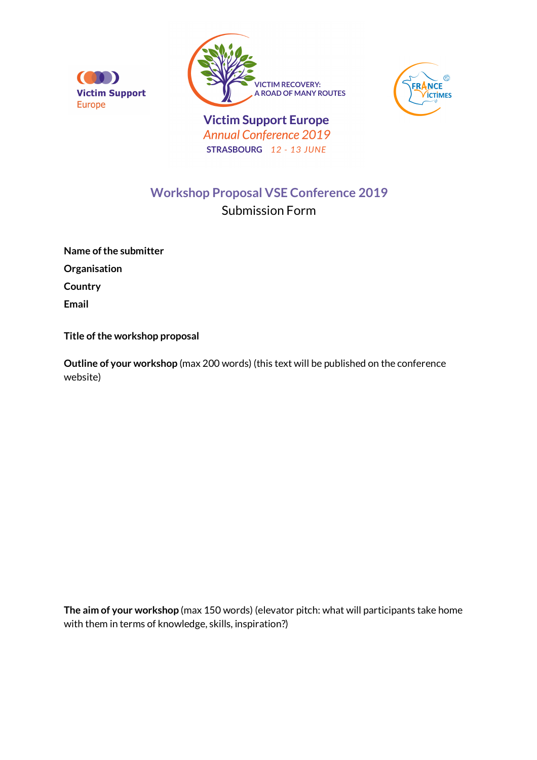





**Victim Support Europe Annual Conference 2019** STRASBOURG 12 - 13 JUNE

# **Workshop Proposal VSE Conference 2019**  Submission Form

**Name of the submitter** 

**Organisation**

**Country**

**Email**

**Title of the workshop proposal**

**Outline of your workshop** (max 200 words) (this text will be published on the conference website)

**The aim of your workshop** (max 150 words) (elevator pitch: what will participants take home with them in terms of knowledge, skills, inspiration?)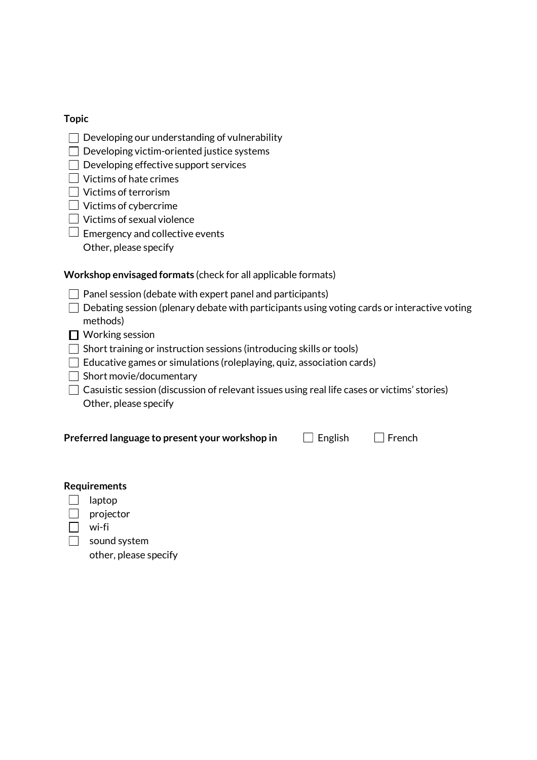### **Topic**

- $\Box$  Developing our understanding of vulnerability
- $\Box$  Developing victim-oriented justice systems
- $\Box$  Developing effective support services
- $\Box$  Victims of hate crimes
- Victims of terrorism
- $\Box$  Victims of cybercrime
- $\Box$  Victims of sexual violence
- $\Box$  Emergency and collective events
	- Other, please specify

## **Workshop envisaged formats** (check for all applicable formats)

- $\Box$  Panel session (debate with expert panel and participants)
- $\Box$  Debating session (plenary debate with participants using voting cards or interactive voting methods)
- □ Working session
- $\Box$  Short training or instruction sessions (introducing skills or tools)
- $\Box$  Educative games or simulations (roleplaying, quiz, association cards)
- $\Box$  Short movie/documentary
- $\Box$  Casuistic session (discussion of relevant issues using real life cases or victims' stories) Other, please specify

| Preferred language to present your workshop ir |  |
|------------------------------------------------|--|
|------------------------------------------------|--|

**Preferred Preferred preferred present present preferred present present preferred present present preferred present present present present present present present present present**

#### **Requirements**

- $\Box$  laptop
- $\Box$  projector
- wi-fi
- $\Box$  sound system
	- other, please specify